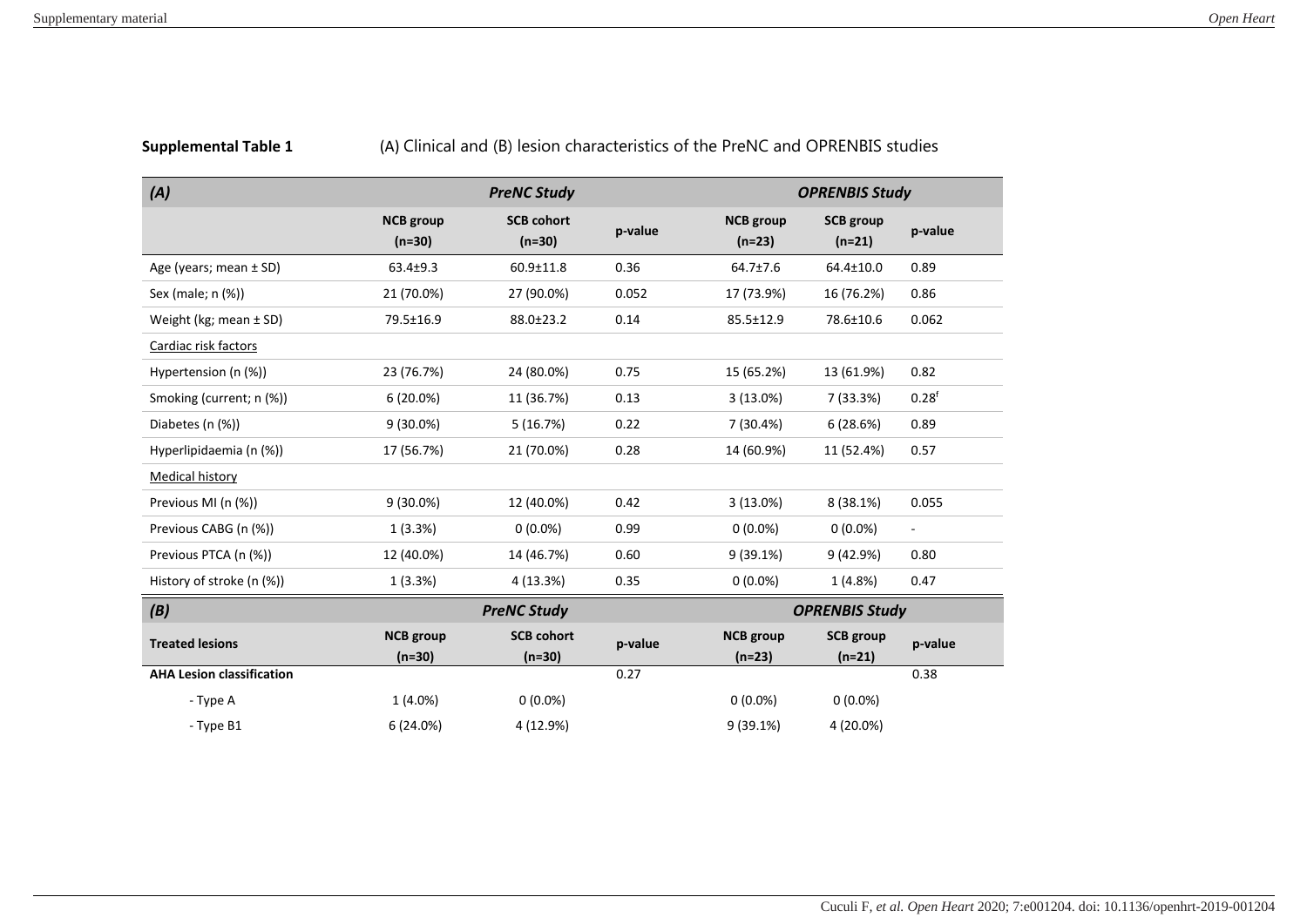| (A)                              | <b>PreNC Study</b>           |                               |         | <b>OPRENBIS Study</b>        |                              |                          |
|----------------------------------|------------------------------|-------------------------------|---------|------------------------------|------------------------------|--------------------------|
|                                  | <b>NCB</b> group<br>$(n=30)$ | <b>SCB cohort</b><br>$(n=30)$ | p-value | <b>NCB</b> group<br>$(n=23)$ | <b>SCB</b> group<br>$(n=21)$ | p-value                  |
| Age (years; mean $\pm$ SD)       | $63.4 \pm 9.3$               | $60.9 \pm 11.8$               | 0.36    | $64.7 \pm 7.6$               | 64.4±10.0                    | 0.89                     |
| Sex (male; n (%))                | 21 (70.0%)                   | 27 (90.0%)                    | 0.052   | 17 (73.9%)                   | 16 (76.2%)                   | 0.86                     |
| Weight (kg; mean $\pm$ SD)       | 79.5±16.9                    | 88.0±23.2                     | 0.14    | 85.5±12.9                    | 78.6±10.6                    | 0.062                    |
| Cardiac risk factors             |                              |                               |         |                              |                              |                          |
| Hypertension (n (%))             | 23 (76.7%)                   | 24 (80.0%)                    | 0.75    | 15 (65.2%)                   | 13 (61.9%)                   | 0.82                     |
| Smoking (current; n (%))         | $6(20.0\%)$                  | 11 (36.7%)                    | 0.13    | 3(13.0%)                     | 7 (33.3%)                    | 0.28 <sup>f</sup>        |
| Diabetes (n (%))                 | $9(30.0\%)$                  | 5(16.7%)                      | 0.22    | 7 (30.4%)                    | 6(28.6%)                     | 0.89                     |
| Hyperlipidaemia (n (%))          | 17 (56.7%)                   | 21 (70.0%)                    | 0.28    | 14 (60.9%)                   | 11 (52.4%)                   | 0.57                     |
| <b>Medical history</b>           |                              |                               |         |                              |                              |                          |
| Previous MI (n (%))              | $9(30.0\%)$                  | 12 (40.0%)                    | 0.42    | 3(13.0%)                     | 8 (38.1%)                    | 0.055                    |
| Previous CABG (n (%))            | 1(3.3%)                      | $0(0.0\%)$                    | 0.99    | $0(0.0\%)$                   | $0(0.0\%)$                   | $\overline{\phantom{a}}$ |
| Previous PTCA (n (%))            | 12 (40.0%)                   | 14 (46.7%)                    | 0.60    | 9(39.1%)                     | 9(42.9%)                     | 0.80                     |
| History of stroke (n (%))        | 1(3.3%)                      | 4 (13.3%)                     | 0.35    | $0(0.0\%)$                   | 1(4.8%)                      | 0.47                     |
| (B)                              | <b>PreNC Study</b>           |                               |         | <b>OPRENBIS Study</b>        |                              |                          |
| <b>Treated lesions</b>           | <b>NCB</b> group<br>$(n=30)$ | <b>SCB cohort</b><br>$(n=30)$ | p-value | <b>NCB</b> group<br>$(n=23)$ | <b>SCB</b> group<br>$(n=21)$ | p-value                  |
| <b>AHA Lesion classification</b> |                              |                               | 0.27    |                              |                              | 0.38                     |
| - Type A                         | $1(4.0\%)$                   | $0(0.0\%)$                    |         | $0(0.0\%)$                   | $0(0.0\%)$                   |                          |
| - Type B1                        | 6 (24.0%)                    | 4 (12.9%)                     |         | 9(39.1%)                     | 4 (20.0%)                    |                          |

**Supplemental Table 1** (A) Clinical and (B) lesion characteristics of the PreNC and OPRENBIS studies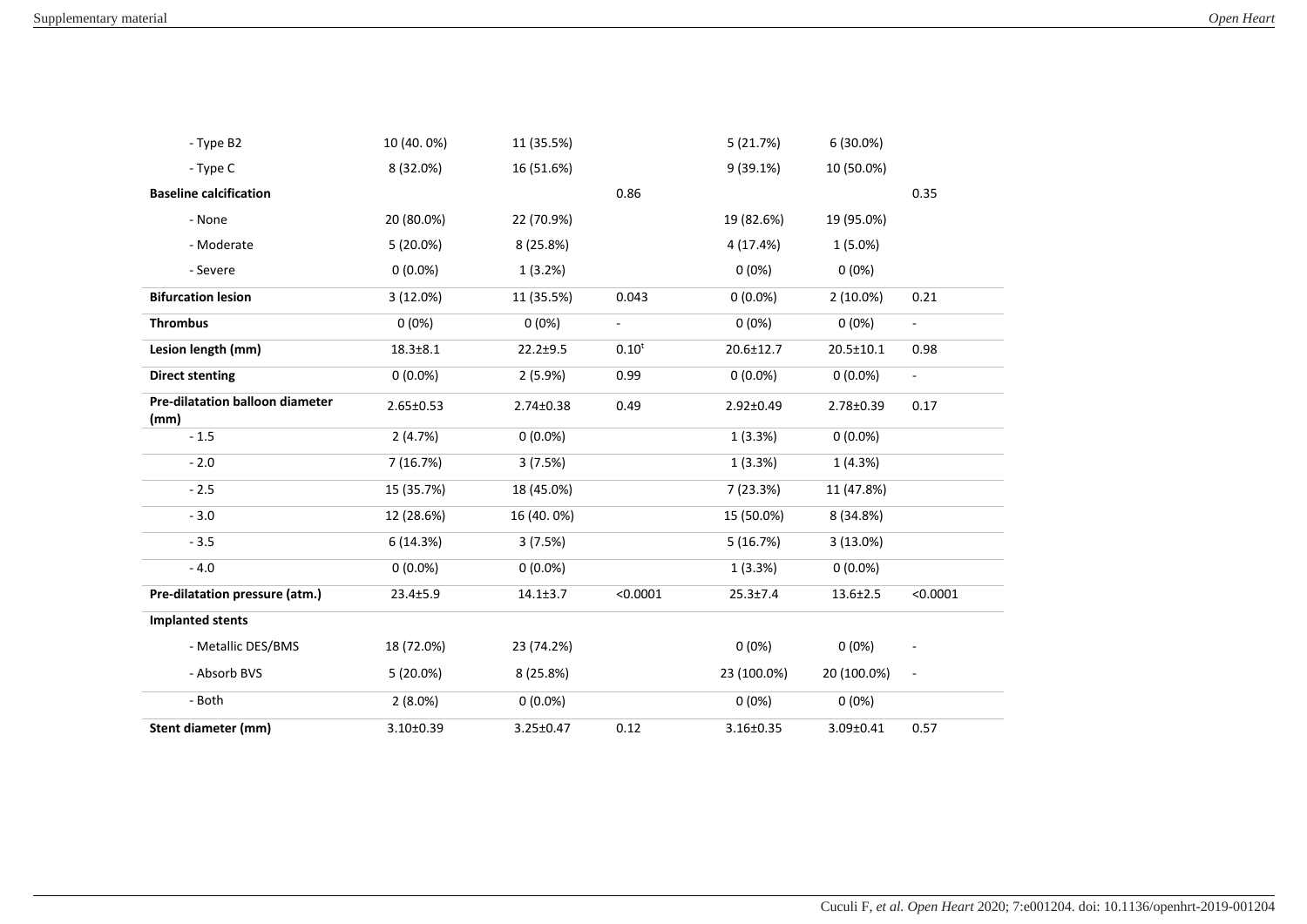| - Type B2                               | 10 (40.0%)      | 11 (35.5%)     |                | 5(21.7%)        | 6 (30.0%)       |                          |
|-----------------------------------------|-----------------|----------------|----------------|-----------------|-----------------|--------------------------|
| - Type C                                | 8 (32.0%)       | 16 (51.6%)     |                | 9(39.1%)        | 10 (50.0%)      |                          |
| <b>Baseline calcification</b>           |                 |                | 0.86           |                 |                 | 0.35                     |
| - None                                  | 20 (80.0%)      | 22 (70.9%)     |                | 19 (82.6%)      | 19 (95.0%)      |                          |
| - Moderate                              | 5(20.0%)        | 8 (25.8%)      |                | 4 (17.4%)       | $1(5.0\%)$      |                          |
| - Severe                                | $0(0.0\%)$      | 1(3.2%)        |                | $0(0\%)$        | 0(0%)           |                          |
| <b>Bifurcation lesion</b>               | 3 (12.0%)       | 11 (35.5%)     | 0.043          | $0(0.0\%)$      | $2(10.0\%)$     | 0.21                     |
| <b>Thrombus</b>                         | 0(0%)           | 0(0%)          | $\blacksquare$ | $0(0\%)$        | $0(0\%)$        | $\Box$                   |
| Lesion length (mm)                      | $18.3 \pm 8.1$  | $22.2 + 9.5$   | $0.10^{t}$     | 20.6±12.7       | 20.5±10.1       | 0.98                     |
| <b>Direct stenting</b>                  | $0(0.0\%)$      | 2(5.9%)        | 0.99           | $0(0.0\%)$      | $0(0.0\%)$      | $\omega$                 |
| Pre-dilatation balloon diameter<br>(mm) | $2.65 \pm 0.53$ | 2.74±0.38      | 0.49           | $2.92 \pm 0.49$ | 2.78±0.39       | 0.17                     |
| $-1.5$                                  | 2(4.7%)         | $0(0.0\%)$     |                | 1(3.3%)         | $0(0.0\%)$      |                          |
| $-2.0$                                  | 7 (16.7%)       | 3(7.5%)        |                | 1(3.3%)         | 1(4.3%)         |                          |
| $-2.5$                                  | 15 (35.7%)      | 18 (45.0%)     |                | 7 (23.3%)       | 11 (47.8%)      |                          |
| $-3.0$                                  | 12 (28.6%)      | 16 (40.0%)     |                | 15 (50.0%)      | 8 (34.8%)       |                          |
| $-3.5$                                  | 6 (14.3%)       | 3(7.5%)        |                | 5(16.7%)        | 3(13.0%)        |                          |
| $-4.0$                                  | $0(0.0\%)$      | $0(0.0\%)$     |                | 1(3.3%)         | $0(0.0\%)$      |                          |
| Pre-dilatation pressure (atm.)          | $23.4 \pm 5.9$  | $14.1 \pm 3.7$ | < 0.0001       | $25.3 \pm 7.4$  | $13.6 \pm 2.5$  | < 0.0001                 |
| <b>Implanted stents</b>                 |                 |                |                |                 |                 |                          |
| - Metallic DES/BMS                      | 18 (72.0%)      | 23 (74.2%)     |                | 0(0%)           | $0(0\%)$        | $\overline{\phantom{a}}$ |
| - Absorb BVS                            | 5 (20.0%)       | 8 (25.8%)      |                | 23 (100.0%)     | 20 (100.0%)     | $\overline{\phantom{a}}$ |
| - Both                                  | $2(8.0\%)$      | $0(0.0\%)$     |                | $0(0\%)$        | $0(0\%)$        |                          |
| Stent diameter (mm)                     | $3.10 \pm 0.39$ | 3.25±0.47      | 0.12           | $3.16 \pm 0.35$ | $3.09 \pm 0.41$ | 0.57                     |